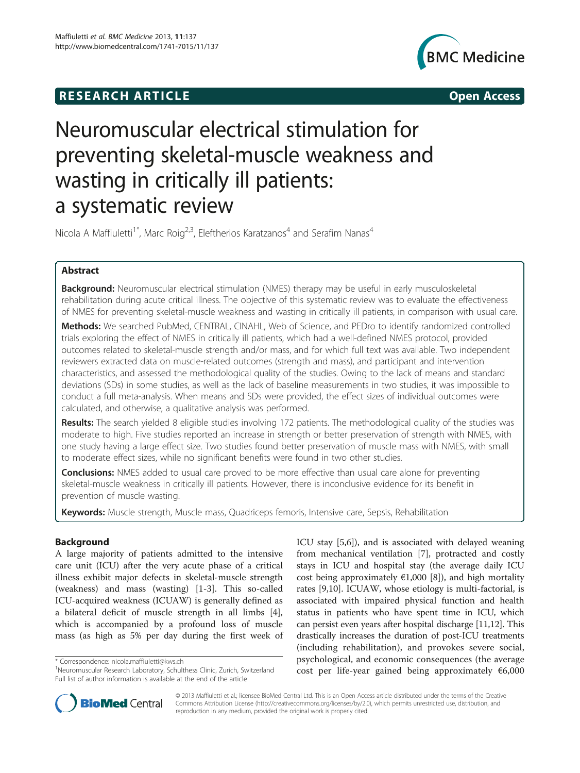## **RESEARCH ARTICLE Example 2014 12:30 The SEAR CHA RESEARCH ARTICLE**





# Neuromuscular electrical stimulation for preventing skeletal-muscle weakness and wasting in critically ill patients: a systematic review

Nicola A Maffiuletti<sup>1\*</sup>, Marc Roig<sup>2,3</sup>, Eleftherios Karatzanos<sup>4</sup> and Serafim Nanas<sup>4</sup>

### Abstract

Background: Neuromuscular electrical stimulation (NMES) therapy may be useful in early musculoskeletal rehabilitation during acute critical illness. The objective of this systematic review was to evaluate the effectiveness of NMES for preventing skeletal-muscle weakness and wasting in critically ill patients, in comparison with usual care.

Methods: We searched PubMed, CENTRAL, CINAHL, Web of Science, and PEDro to identify randomized controlled trials exploring the effect of NMES in critically ill patients, which had a well-defined NMES protocol, provided outcomes related to skeletal-muscle strength and/or mass, and for which full text was available. Two independent reviewers extracted data on muscle-related outcomes (strength and mass), and participant and intervention characteristics, and assessed the methodological quality of the studies. Owing to the lack of means and standard deviations (SDs) in some studies, as well as the lack of baseline measurements in two studies, it was impossible to conduct a full meta-analysis. When means and SDs were provided, the effect sizes of individual outcomes were calculated, and otherwise, a qualitative analysis was performed.

Results: The search yielded 8 eligible studies involving 172 patients. The methodological quality of the studies was moderate to high. Five studies reported an increase in strength or better preservation of strength with NMES, with one study having a large effect size. Two studies found better preservation of muscle mass with NMES, with small to moderate effect sizes, while no significant benefits were found in two other studies.

**Conclusions:** NMES added to usual care proved to be more effective than usual care alone for preventing skeletal-muscle weakness in critically ill patients. However, there is inconclusive evidence for its benefit in prevention of muscle wasting.

Keywords: Muscle strength, Muscle mass, Quadriceps femoris, Intensive care, Sepsis, Rehabilitation

#### Background

A large majority of patients admitted to the intensive care unit (ICU) after the very acute phase of a critical illness exhibit major defects in skeletal-muscle strength (weakness) and mass (wasting) [\[1-3](#page-8-0)]. This so-called ICU-acquired weakness (ICUAW) is generally defined as a bilateral deficit of muscle strength in all limbs [\[4](#page-8-0)], which is accompanied by a profound loss of muscle mass (as high as 5% per day during the first week of ICU stay [[5,6\]](#page-8-0)), and is associated with delayed weaning from mechanical ventilation [\[7](#page-8-0)], protracted and costly stays in ICU and hospital stay (the average daily ICU cost being approximately  $\epsilon$ 1,000 [[8\]](#page-8-0)), and high mortality rates [[9](#page-8-0),[10](#page-8-0)]. ICUAW, whose etiology is multi-factorial, is associated with impaired physical function and health status in patients who have spent time in ICU, which can persist even years after hospital discharge [[11,12](#page-8-0)]. This drastically increases the duration of post-ICU treatments (including rehabilitation), and provokes severe social, psychological, and economic consequences (the average cost per life-year gained being approximately  $€6,000$ 



© 2013 Maffiuletti et al.; licensee BioMed Central Ltd. This is an Open Access article distributed under the terms of the Creative Commons Attribution License [\(http://creativecommons.org/licenses/by/2.0\)](http://creativecommons.org/licenses/by/2.0), which permits unrestricted use, distribution, and reproduction in any medium, provided the original work is properly cited.

<sup>\*</sup> Correspondence: [nicola.maffiuletti@kws.ch](mailto:nicola.maffiuletti@kws.ch) <sup>1</sup>

<sup>&</sup>lt;sup>1</sup>Neuromuscular Research Laboratory, Schulthess Clinic, Zurich, Switzerland Full list of author information is available at the end of the article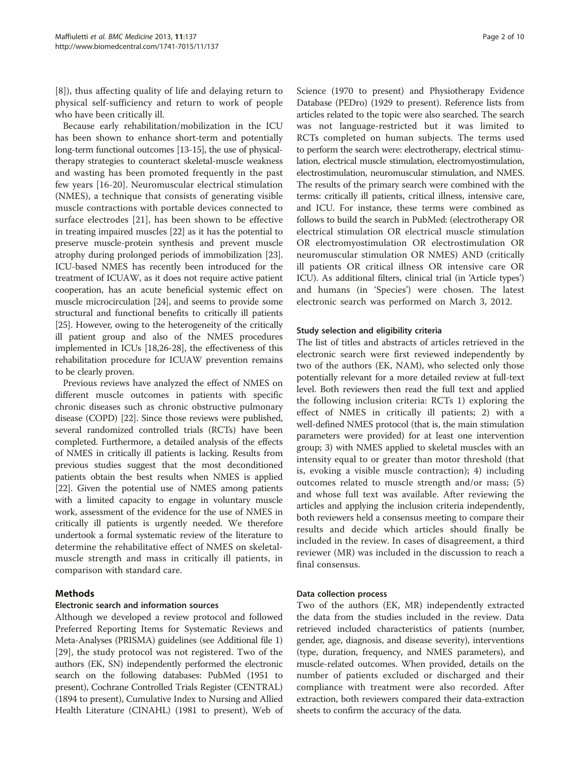[[8\]](#page-8-0)), thus affecting quality of life and delaying return to physical self-sufficiency and return to work of people who have been critically ill.

Because early rehabilitation/mobilization in the ICU has been shown to enhance short-term and potentially long-term functional outcomes [[13-15\]](#page-8-0), the use of physicaltherapy strategies to counteract skeletal-muscle weakness and wasting has been promoted frequently in the past few years [[16](#page-8-0)-[20\]](#page-8-0). Neuromuscular electrical stimulation (NMES), a technique that consists of generating visible muscle contractions with portable devices connected to surface electrodes [\[21](#page-8-0)], has been shown to be effective in treating impaired muscles [\[22\]](#page-8-0) as it has the potential to preserve muscle-protein synthesis and prevent muscle atrophy during prolonged periods of immobilization [[23](#page-8-0)]. ICU-based NMES has recently been introduced for the treatment of ICUAW, as it does not require active patient cooperation, has an acute beneficial systemic effect on muscle microcirculation [[24](#page-8-0)], and seems to provide some structural and functional benefits to critically ill patients [[25](#page-8-0)]. However, owing to the heterogeneity of the critically ill patient group and also of the NMES procedures implemented in ICUs [[18,26](#page-8-0)-[28](#page-8-0)], the effectiveness of this rehabilitation procedure for ICUAW prevention remains to be clearly proven.

Previous reviews have analyzed the effect of NMES on different muscle outcomes in patients with specific chronic diseases such as chronic obstructive pulmonary disease (COPD) [\[22\]](#page-8-0). Since those reviews were published, several randomized controlled trials (RCTs) have been completed. Furthermore, a detailed analysis of the effects of NMES in critically ill patients is lacking. Results from previous studies suggest that the most deconditioned patients obtain the best results when NMES is applied [[22](#page-8-0)]. Given the potential use of NMES among patients with a limited capacity to engage in voluntary muscle work, assessment of the evidence for the use of NMES in critically ill patients is urgently needed. We therefore undertook a formal systematic review of the literature to determine the rehabilitative effect of NMES on skeletalmuscle strength and mass in critically ill patients, in comparison with standard care.

#### Methods

#### Electronic search and information sources

Although we developed a review protocol and followed Preferred Reporting Items for Systematic Reviews and Meta-Analyses (PRISMA) guidelines (see Additional file [1](#page-7-0)) [[29\]](#page-8-0), the study protocol was not registered. Two of the authors (EK, SN) independently performed the electronic search on the following databases: PubMed (1951 to present), Cochrane Controlled Trials Register (CENTRAL) (1894 to present), Cumulative Index to Nursing and Allied Health Literature (CINAHL) (1981 to present), Web of

Science (1970 to present) and Physiotherapy Evidence Database (PEDro) (1929 to present). Reference lists from articles related to the topic were also searched. The search was not language-restricted but it was limited to RCTs completed on human subjects. The terms used to perform the search were: electrotherapy, electrical stimulation, electrical muscle stimulation, electromyostimulation, electrostimulation, neuromuscular stimulation, and NMES. The results of the primary search were combined with the terms: critically ill patients, critical illness, intensive care, and ICU. For instance, these terms were combined as follows to build the search in PubMed: (electrotherapy OR electrical stimulation OR electrical muscle stimulation OR electromyostimulation OR electrostimulation OR neuromuscular stimulation OR NMES) AND (critically ill patients OR critical illness OR intensive care OR ICU). As additional filters, clinical trial (in 'Article types') and humans (in 'Species') were chosen. The latest electronic search was performed on March 3, 2012.

#### Study selection and eligibility criteria

The list of titles and abstracts of articles retrieved in the electronic search were first reviewed independently by two of the authors (EK, NAM), who selected only those potentially relevant for a more detailed review at full-text level. Both reviewers then read the full text and applied the following inclusion criteria: RCTs 1) exploring the effect of NMES in critically ill patients; 2) with a well-defined NMES protocol (that is, the main stimulation parameters were provided) for at least one intervention group; 3) with NMES applied to skeletal muscles with an intensity equal to or greater than motor threshold (that is, evoking a visible muscle contraction); 4) including outcomes related to muscle strength and/or mass; (5) and whose full text was available. After reviewing the articles and applying the inclusion criteria independently, both reviewers held a consensus meeting to compare their results and decide which articles should finally be included in the review. In cases of disagreement, a third reviewer (MR) was included in the discussion to reach a final consensus.

#### Data collection process

Two of the authors (EK, MR) independently extracted the data from the studies included in the review. Data retrieved included characteristics of patients (number, gender, age, diagnosis, and disease severity), interventions (type, duration, frequency, and NMES parameters), and muscle-related outcomes. When provided, details on the number of patients excluded or discharged and their compliance with treatment were also recorded. After extraction, both reviewers compared their data-extraction sheets to confirm the accuracy of the data.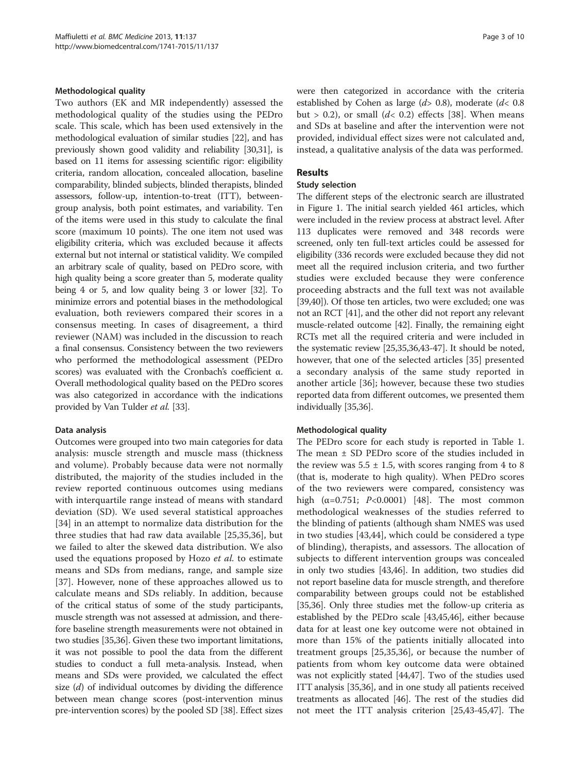#### Methodological quality

Two authors (EK and MR independently) assessed the methodological quality of the studies using the PEDro scale. This scale, which has been used extensively in the methodological evaluation of similar studies [\[22\]](#page-8-0), and has previously shown good validity and reliability [\[30,31\]](#page-8-0), is based on 11 items for assessing scientific rigor: eligibility criteria, random allocation, concealed allocation, baseline comparability, blinded subjects, blinded therapists, blinded assessors, follow-up, intention-to-treat (ITT), betweengroup analysis, both point estimates, and variability. Ten of the items were used in this study to calculate the final score (maximum 10 points). The one item not used was eligibility criteria, which was excluded because it affects external but not internal or statistical validity. We compiled an arbitrary scale of quality, based on PEDro score, with high quality being a score greater than 5, moderate quality being 4 or 5, and low quality being 3 or lower [\[32\]](#page-8-0). To minimize errors and potential biases in the methodological evaluation, both reviewers compared their scores in a consensus meeting. In cases of disagreement, a third reviewer (NAM) was included in the discussion to reach a final consensus. Consistency between the two reviewers who performed the methodological assessment (PEDro scores) was evaluated with the Cronbach's coefficient α. Overall methodological quality based on the PEDro scores was also categorized in accordance with the indications provided by Van Tulder et al. [\[33\]](#page-8-0).

#### Data analysis

Outcomes were grouped into two main categories for data analysis: muscle strength and muscle mass (thickness and volume). Probably because data were not normally distributed, the majority of the studies included in the review reported continuous outcomes using medians with interquartile range instead of means with standard deviation (SD). We used several statistical approaches [[34\]](#page-8-0) in an attempt to normalize data distribution for the three studies that had raw data available [\[25](#page-8-0),[35,36\]](#page-8-0), but we failed to alter the skewed data distribution. We also used the equations proposed by Hozo *et al.* to estimate means and SDs from medians, range, and sample size [[37\]](#page-8-0). However, none of these approaches allowed us to calculate means and SDs reliably. In addition, because of the critical status of some of the study participants, muscle strength was not assessed at admission, and therefore baseline strength measurements were not obtained in two studies [\[35,36\]](#page-8-0). Given these two important limitations, it was not possible to pool the data from the different studies to conduct a full meta-analysis. Instead, when means and SDs were provided, we calculated the effect size (*d*) of individual outcomes by dividing the difference between mean change scores (post-intervention minus pre-intervention scores) by the pooled SD [\[38\]](#page-8-0). Effect sizes were then categorized in accordance with the criteria established by Cohen as large  $(d> 0.8)$ , moderate  $(d< 0.8)$ but > 0.2), or small  $(d< 0.2)$  effects [\[38](#page-8-0)]. When means and SDs at baseline and after the intervention were not provided, individual effect sizes were not calculated and, instead, a qualitative analysis of the data was performed.

#### Results

#### Study selection

The different steps of the electronic search are illustrated in Figure [1.](#page-3-0) The initial search yielded 461 articles, which were included in the review process at abstract level. After 113 duplicates were removed and 348 records were screened, only ten full-text articles could be assessed for eligibility (336 records were excluded because they did not meet all the required inclusion criteria, and two further studies were excluded because they were conference proceeding abstracts and the full text was not available [[39](#page-8-0),[40](#page-9-0)]). Of those ten articles, two were excluded; one was not an RCT [[41](#page-9-0)], and the other did not report any relevant muscle-related outcome [[42](#page-9-0)]. Finally, the remaining eight RCTs met all the required criteria and were included in the systematic review [\[25,35,36](#page-8-0),[43](#page-9-0)-[47](#page-9-0)]. It should be noted, however, that one of the selected articles [[35\]](#page-8-0) presented a secondary analysis of the same study reported in another article [\[36](#page-8-0)]; however, because these two studies reported data from different outcomes, we presented them individually [[35,36\]](#page-8-0).

#### Methodological quality

The PEDro score for each study is reported in Table [1](#page-3-0). The mean ± SD PEDro score of the studies included in the review was  $5.5 \pm 1.5$ , with scores ranging from 4 to 8 (that is, moderate to high quality). When PEDro scores of the two reviewers were compared, consistency was high  $(\alpha=0.751; P<0.0001)$  [[48\]](#page-9-0). The most common methodological weaknesses of the studies referred to the blinding of patients (although sham NMES was used in two studies [[43,44](#page-9-0)], which could be considered a type of blinding), therapists, and assessors. The allocation of subjects to different intervention groups was concealed in only two studies [\[43,46](#page-9-0)]. In addition, two studies did not report baseline data for muscle strength, and therefore comparability between groups could not be established [[35](#page-8-0),[36](#page-8-0)]. Only three studies met the follow-up criteria as established by the PEDro scale [\[43,45,46](#page-9-0)], either because data for at least one key outcome were not obtained in more than 15% of the patients initially allocated into treatment groups [[25,35,36\]](#page-8-0), or because the number of patients from whom key outcome data were obtained was not explicitly stated [[44,47](#page-9-0)]. Two of the studies used ITT analysis [\[35,36\]](#page-8-0), and in one study all patients received treatments as allocated [\[46\]](#page-9-0). The rest of the studies did not meet the ITT analysis criterion [[25,](#page-8-0)[43](#page-9-0)-[45,47](#page-9-0)]. The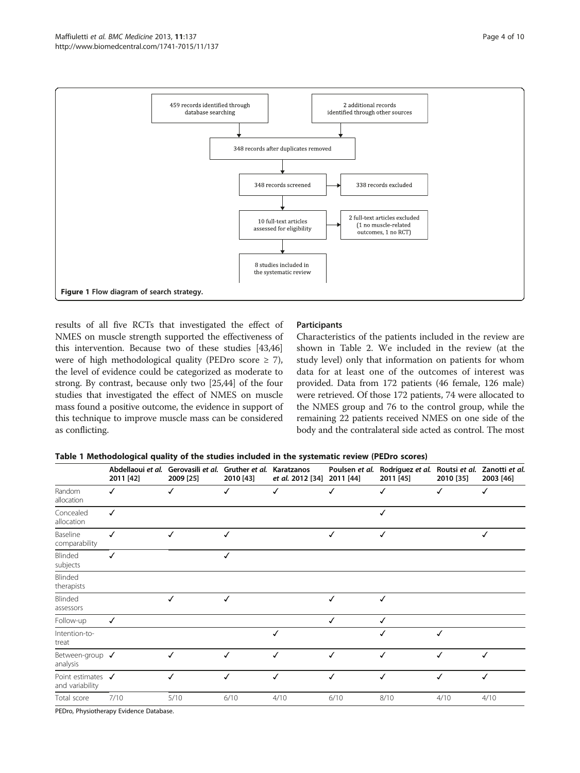<span id="page-3-0"></span>

results of all five RCTs that investigated the effect of NMES on muscle strength supported the effectiveness of this intervention. Because two of these studies [\[43,46](#page-9-0)] were of high methodological quality (PEDro score  $\geq$  7), the level of evidence could be categorized as moderate to strong. By contrast, because only two [[25](#page-8-0)[,44](#page-9-0)] of the four studies that investigated the effect of NMES on muscle mass found a positive outcome, the evidence in support of this technique to improve muscle mass can be considered as conflicting.

#### **Participants**

Characteristics of the patients included in the review are shown in Table [2](#page-4-0). We included in the review (at the study level) only that information on patients for whom data for at least one of the outcomes of interest was provided. Data from 172 patients (46 female, 126 male) were retrieved. Of those 172 patients, 74 were allocated to the NMES group and 76 to the control group, while the remaining 22 patients received NMES on one side of the body and the contralateral side acted as control. The most

| Table 1 Methodological quality of the studies included in the systematic review (PEDro scores) |  |
|------------------------------------------------------------------------------------------------|--|
|------------------------------------------------------------------------------------------------|--|

|                                                 | Abdellaoui et al.<br>2011 [42] | Gerovasili et al.<br>2009 [25] | Gruther et al.<br>2010 [43] | <b>Karatzanos</b><br>et al. 2012 [34] | Poulsen et al.<br>2011 [44] | Rodríguez et al.<br>2011 [45] | Routsi et al.<br>2010 [35] | Zanotti et al.<br>2003 [46] |
|-------------------------------------------------|--------------------------------|--------------------------------|-----------------------------|---------------------------------------|-----------------------------|-------------------------------|----------------------------|-----------------------------|
| Random<br>allocation                            | ✓                              | ✓                              | ✓                           | ✓                                     | ✓                           | ✓                             | ✓                          | ✓                           |
| Concealed<br>allocation                         | ✓                              |                                |                             |                                       |                             | ✓                             |                            |                             |
| Baseline<br>comparability                       | ✓                              | ✓                              | $\checkmark$                |                                       | $\checkmark$                | $\checkmark$                  |                            | ✓                           |
| Blinded<br>subjects                             | ✓                              |                                | ✓                           |                                       |                             |                               |                            |                             |
| Blinded<br>therapists                           |                                |                                |                             |                                       |                             |                               |                            |                             |
| Blinded<br>assessors                            |                                | $\checkmark$                   | ✓                           |                                       | $\checkmark$                | $\checkmark$                  |                            |                             |
| Follow-up                                       | $\checkmark$                   |                                |                             |                                       | ✓                           | ✓                             |                            |                             |
| Intention-to-<br>treat                          |                                |                                |                             | $\checkmark$                          |                             | ✓                             | $\checkmark$               |                             |
| Between-group √<br>analysis                     |                                | ✓                              | ✓                           | ✓                                     | ✓                           | ✓                             | ✓                          | ✓                           |
| Point estimates $\checkmark$<br>and variability |                                | √                              | ✓                           | ✓                                     | ✓                           | $\checkmark$                  | ✓                          | ✓                           |
| Total score                                     | 7/10                           | 5/10                           | 6/10                        | 4/10                                  | 6/10                        | 8/10                          | 4/10                       | 4/10                        |
|                                                 |                                |                                |                             |                                       |                             |                               |                            |                             |

PEDro, Physiotherapy Evidence Database.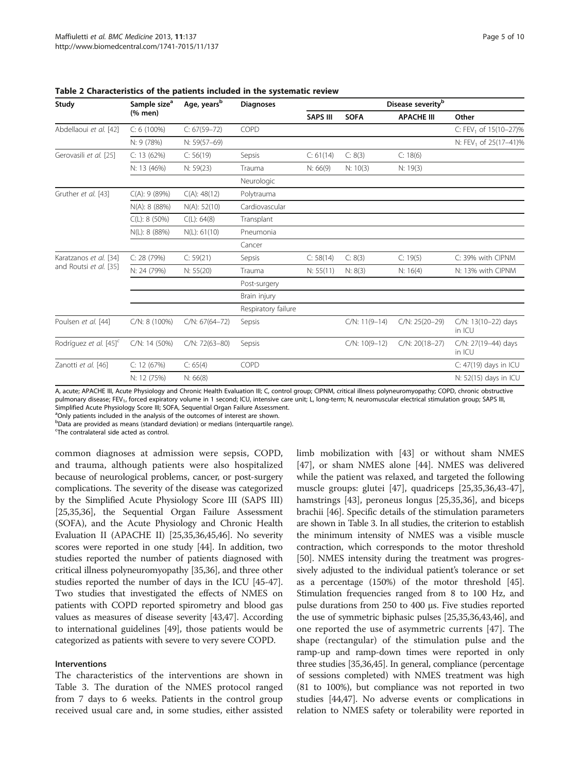| Study                              | Sample size <sup>a</sup><br>(% men) | Age, years <sup>b</sup> | <b>Diagnoses</b>    | Disease severity <sup>b</sup> |                 |                   |                                   |  |
|------------------------------------|-------------------------------------|-------------------------|---------------------|-------------------------------|-----------------|-------------------|-----------------------------------|--|
|                                    |                                     |                         |                     | <b>SAPS III</b>               | <b>SOFA</b>     | <b>APACHE III</b> | Other                             |  |
| Abdellaoui et al. [42]             | $C: 6(100\%)$                       | $C: 67(59 - 72)$        | COPD                |                               |                 |                   | C: FEV <sub>1</sub> of 15(10-27)% |  |
|                                    | N: 9 (78%)                          | N: 59(57-69)            |                     |                               |                 |                   | N: FEV <sub>1</sub> of 25(17-41)% |  |
| Gerovasili et al. [25]             | C: 13(62%)                          | C: 56(19)               | Sepsis              | C: 61(14)                     | C: 8(3)         | C: 18(6)          |                                   |  |
|                                    | N: 13 (46%)                         | N: 59(23)               | Trauma              | N: 66(9)                      | N: 10(3)        | N: 19(3)          |                                   |  |
|                                    |                                     |                         | Neurologic          |                               |                 |                   |                                   |  |
| Gruther et al. [43]                | C(A): 9(89%)                        | C(A): 48(12)            | Polytrauma          |                               |                 |                   |                                   |  |
|                                    | N(A): 8 (88%)                       | N(A): 52(10)            | Cardiovascular      |                               |                 |                   |                                   |  |
|                                    | $C(L): 8(50\%)$                     | C(L): 64(8)             | Transplant          |                               |                 |                   |                                   |  |
|                                    | N(L): 8 (88%)                       | N(L): 61(10)            | Pneumonia           |                               |                 |                   |                                   |  |
|                                    |                                     |                         | Cancer              |                               |                 |                   |                                   |  |
| Karatzanos et al. [34]             | C: 28(79%)                          | C: 59(21)               | Sepsis              | C: 58(14)                     | C: 8(3)         | C: 19(5)          | C: 39% with CIPNM                 |  |
| and Routsi et al. [35]             | N: 24 (79%)                         | N: 55(20)               | Trauma              | N: 55(11)                     | N: 8(3)         | N: 16(4)          | N: 13% with CIPNM                 |  |
|                                    |                                     |                         | Post-surgery        |                               |                 |                   |                                   |  |
|                                    |                                     |                         | Brain injury        |                               |                 |                   |                                   |  |
|                                    |                                     |                         | Respiratory failure |                               |                 |                   |                                   |  |
| Poulsen et al. [44]                | C/N: 8 (100%)                       | $C/N: 67(64-72)$        | Sepsis              |                               | $C/N: 11(9-14)$ | $C/N: 25(20-29)$  | C/N: 13(10-22) days<br>in ICU     |  |
| Rodríguez et al. [45] <sup>c</sup> | C/N: 14 (50%)                       | $C/N: 72(63-80)$        | Sepsis              |                               | $C/N: 10(9-12)$ | $C/N: 20(18-27)$  | C/N: 27(19-44) days<br>in ICU     |  |
| Zanotti et al. [46]                | C: 12(67%)                          | C: 65(4)                | COPD                |                               |                 |                   | C: 47(19) days in ICU             |  |
|                                    | N: 12 (75%)                         | N: 66(8)                |                     |                               |                 |                   | N: 52(15) days in ICU             |  |

<span id="page-4-0"></span>Table 2 Characteristics of the patients included in the systematic review

A, acute; APACHE III, Acute Physiology and Chronic Health Evaluation III; C, control group; CIPNM, critical illness polyneuromyopathy; COPD, chronic obstructive pulmonary disease; FEV<sub>1</sub>, forced expiratory volume in 1 second; ICU, intensive care unit; L, long-term; N, neuromuscular electrical stimulation group; SAPS III, Simplified Acute Physiology Score III; SOFA, Sequential Organ Failure Assessment.

<sup>a</sup>Only patients included in the analysis of the outcomes of interest are shown.

<sup>b</sup>Data are provided as means (standard deviation) or medians (interquartile range).

<sup>c</sup>The contralateral side acted as control.

common diagnoses at admission were sepsis, COPD, and trauma, although patients were also hospitalized because of neurological problems, cancer, or post-surgery complications. The severity of the disease was categorized by the Simplified Acute Physiology Score III (SAPS III) [[25,35,36\]](#page-8-0), the Sequential Organ Failure Assessment (SOFA), and the Acute Physiology and Chronic Health Evaluation II (APACHE II) [\[25,35,36](#page-8-0)[,45,46](#page-9-0)]. No severity scores were reported in one study [\[44\]](#page-9-0). In addition, two studies reported the number of patients diagnosed with critical illness polyneuromyopathy [\[35,36\]](#page-8-0), and three other studies reported the number of days in the ICU [[45](#page-9-0)-[47](#page-9-0)]. Two studies that investigated the effects of NMES on patients with COPD reported spirometry and blood gas values as measures of disease severity [[43,47](#page-9-0)]. According to international guidelines [[49](#page-9-0)], those patients would be categorized as patients with severe to very severe COPD.

#### Interventions

The characteristics of the interventions are shown in Table [3](#page-5-0). The duration of the NMES protocol ranged from 7 days to 6 weeks. Patients in the control group received usual care and, in some studies, either assisted limb mobilization with [[43\]](#page-9-0) or without sham NMES [[47\]](#page-9-0), or sham NMES alone [[44\]](#page-9-0). NMES was delivered while the patient was relaxed, and targeted the following muscle groups: glutei [[47\]](#page-9-0), quadriceps [\[25,35,36](#page-8-0)[,43-47](#page-9-0)], hamstrings [[43\]](#page-9-0), peroneus longus [\[25,35,36\]](#page-8-0), and biceps brachii [\[46\]](#page-9-0). Specific details of the stimulation parameters are shown in Table [3.](#page-5-0) In all studies, the criterion to establish the minimum intensity of NMES was a visible muscle contraction, which corresponds to the motor threshold [[50](#page-9-0)]. NMES intensity during the treatment was progressively adjusted to the individual patient's tolerance or set as a percentage (150%) of the motor threshold [[45](#page-9-0)]. Stimulation frequencies ranged from 8 to 100 Hz, and pulse durations from 250 to 400 μs. Five studies reported the use of symmetric biphasic pulses [\[25,35,36](#page-8-0)[,43,46\]](#page-9-0), and one reported the use of asymmetric currents [[47\]](#page-9-0). The shape (rectangular) of the stimulation pulse and the ramp-up and ramp-down times were reported in only three studies [\[35,36](#page-8-0)[,45](#page-9-0)]. In general, compliance (percentage of sessions completed) with NMES treatment was high (81 to 100%), but compliance was not reported in two studies [[44,47](#page-9-0)]. No adverse events or complications in relation to NMES safety or tolerability were reported in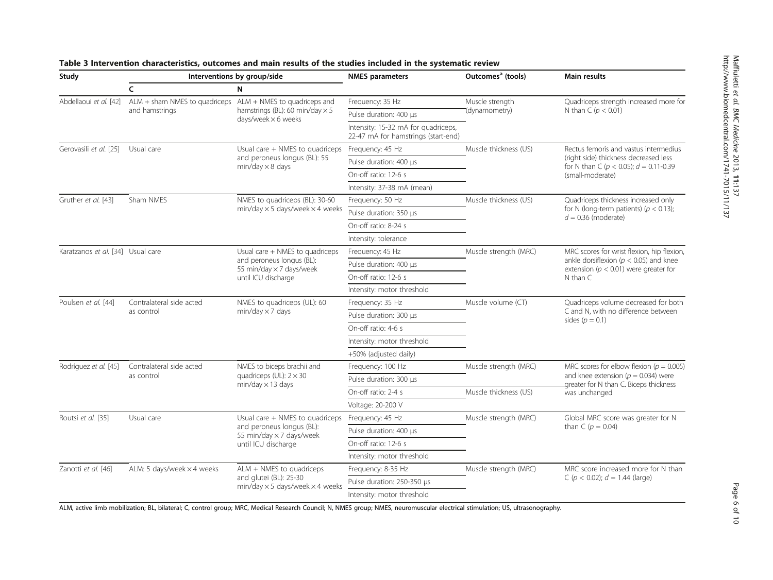| <b>Study</b>                      |                                                                                  | Interventions by group/side                                                                                     | <b>NMES</b> parameters                                                     | Outcomes <sup>a</sup> (tools) | <b>Main results</b>                                                                                                                                   |  |
|-----------------------------------|----------------------------------------------------------------------------------|-----------------------------------------------------------------------------------------------------------------|----------------------------------------------------------------------------|-------------------------------|-------------------------------------------------------------------------------------------------------------------------------------------------------|--|
|                                   | C                                                                                | N                                                                                                               |                                                                            |                               |                                                                                                                                                       |  |
| Abdellaoui et al. [42]            | $ALM + sham$ NMES to quadriceps $ALM + NMES$ to quadriceps and<br>and hamstrings | hamstrings (BL): 60 min/day $\times$ 5<br>days/week $\times$ 6 weeks                                            | Frequency: 35 Hz                                                           | Muscle strength               | Quadriceps strength increased more for<br>N than C ( $p < 0.01$ )                                                                                     |  |
|                                   |                                                                                  |                                                                                                                 | Pulse duration: 400 µs                                                     | (dynamometry)                 |                                                                                                                                                       |  |
|                                   |                                                                                  |                                                                                                                 | Intensity: 15-32 mA for quadriceps,<br>22-47 mA for hamstrings (start-end) |                               |                                                                                                                                                       |  |
| Gerovasili et al. [25]            | Usual care                                                                       | Usual care + NMES to quadriceps<br>and peroneus longus (BL): 55<br>$min/day \times 8$ days                      | Frequency: 45 Hz                                                           | Muscle thickness (US)         | Rectus femoris and vastus intermedius<br>(right side) thickness decreased less<br>for N than C ( $p < 0.05$ ); $d = 0.11$ -0.39                       |  |
|                                   |                                                                                  |                                                                                                                 | Pulse duration: 400 us                                                     |                               |                                                                                                                                                       |  |
|                                   |                                                                                  |                                                                                                                 | On-off ratio: 12-6 s                                                       |                               | (small-moderate)                                                                                                                                      |  |
|                                   |                                                                                  |                                                                                                                 | Intensity: 37-38 mA (mean)                                                 |                               |                                                                                                                                                       |  |
| Gruther et al. [43]               | Sham NMES                                                                        | NMES to quadriceps (BL): 30-60<br>min/day $\times$ 5 days/week $\times$ 4 weeks                                 | Frequency: 50 Hz                                                           | Muscle thickness (US)         | Quadriceps thickness increased only<br>for N (long-term patients) ( $p < 0.13$ );<br>$d = 0.36$ (moderate)                                            |  |
|                                   |                                                                                  |                                                                                                                 | Pulse duration: 350 µs                                                     |                               |                                                                                                                                                       |  |
|                                   |                                                                                  |                                                                                                                 | On-off ratio: 8-24 s                                                       |                               |                                                                                                                                                       |  |
|                                   |                                                                                  |                                                                                                                 | Intensity: tolerance                                                       |                               |                                                                                                                                                       |  |
| Karatzanos et al. [34] Usual care |                                                                                  | Usual care + NMES to quadriceps<br>and peroneus longus (BL):<br>55 min/day x 7 days/week<br>until ICU discharge | Frequency: 45 Hz                                                           | Muscle strength (MRC)         | MRC scores for wrist flexion, hip flexion,<br>ankle dorsiflexion ( $p < 0.05$ ) and knee<br>extension ( $p < 0.01$ ) were greater for<br>$N$ than $C$ |  |
|                                   |                                                                                  |                                                                                                                 | Pulse duration: 400 µs                                                     |                               |                                                                                                                                                       |  |
|                                   |                                                                                  |                                                                                                                 | On-off ratio: 12-6 s                                                       |                               |                                                                                                                                                       |  |
|                                   |                                                                                  |                                                                                                                 | Intensity: motor threshold                                                 |                               |                                                                                                                                                       |  |
| Poulsen et al. [44]               | Contralateral side acted<br>as control                                           | NMES to quadriceps (UL): 60<br>$min/day \times 7 days$                                                          | Frequency: 35 Hz                                                           | Muscle volume (CT)            | Quadriceps volume decreased for both<br>C and N, with no difference between<br>sides ( $p = 0.1$ )                                                    |  |
|                                   |                                                                                  |                                                                                                                 | Pulse duration: 300 µs                                                     |                               |                                                                                                                                                       |  |
|                                   |                                                                                  |                                                                                                                 | On-off ratio: 4-6 s                                                        |                               |                                                                                                                                                       |  |
|                                   |                                                                                  |                                                                                                                 | Intensity: motor threshold                                                 |                               |                                                                                                                                                       |  |
|                                   |                                                                                  |                                                                                                                 | +50% (adjusted daily)                                                      |                               |                                                                                                                                                       |  |
| Rodríguez et al. [45]             | Contralateral side acted<br>as control                                           | NMES to biceps brachii and<br>quadriceps (UL): $2 \times 30$<br>$min/day \times 13 days$                        | Frequency: 100 Hz                                                          | Muscle strength (MRC)         | MRC scores for elbow flexion ( $p = 0.005$ )<br>and knee extension ( $p = 0.034$ ) were<br>greater for N than C. Biceps thickness                     |  |
|                                   |                                                                                  |                                                                                                                 | Pulse duration: 300 µs                                                     |                               |                                                                                                                                                       |  |
|                                   |                                                                                  |                                                                                                                 | On-off ratio: 2-4 s                                                        | Muscle thickness (US)         | was unchanged                                                                                                                                         |  |
|                                   |                                                                                  |                                                                                                                 | Voltage: 20-200 V                                                          |                               |                                                                                                                                                       |  |
| Routsi et al. [35]                | Usual care                                                                       | Usual care + NMES to quadriceps<br>and peroneus longus (BL):<br>55 min/day x 7 days/week<br>until ICU discharge | Frequency: 45 Hz                                                           | Muscle strength (MRC)         | Global MRC score was greater for N<br>than C ( $p = 0.04$ )                                                                                           |  |
|                                   |                                                                                  |                                                                                                                 | Pulse duration: 400 µs                                                     |                               |                                                                                                                                                       |  |
|                                   |                                                                                  |                                                                                                                 | On-off ratio: 12-6 s                                                       |                               |                                                                                                                                                       |  |
|                                   |                                                                                  |                                                                                                                 | Intensity: motor threshold                                                 |                               |                                                                                                                                                       |  |
| Zanotti et al. [46]               | ALM: 5 days/week × 4 weeks                                                       | $ALM + NMES$ to quadriceps<br>and glutei (BL): 25-30<br>min/day $\times$ 5 days/week $\times$ 4 weeks           | Frequency: 8-35 Hz                                                         | Muscle strength (MRC)         | MRC score increased more for N than<br>C ( $p < 0.02$ ); $d = 1.44$ (large)                                                                           |  |
|                                   |                                                                                  |                                                                                                                 | Pulse duration: 250-350 µs                                                 |                               |                                                                                                                                                       |  |
|                                   |                                                                                  |                                                                                                                 | Intensity: motor threshold                                                 |                               |                                                                                                                                                       |  |

#### <span id="page-5-0"></span>Table 3 Intervention characteristics, outcomes and main results of the studies included in the systematic review

ALM, active limb mobilization; BL, bilateral; C, control group; MRC, Medical Research Council; N, NMES group; NMES, neuromuscular electrical stimulation; US, ultrasonography.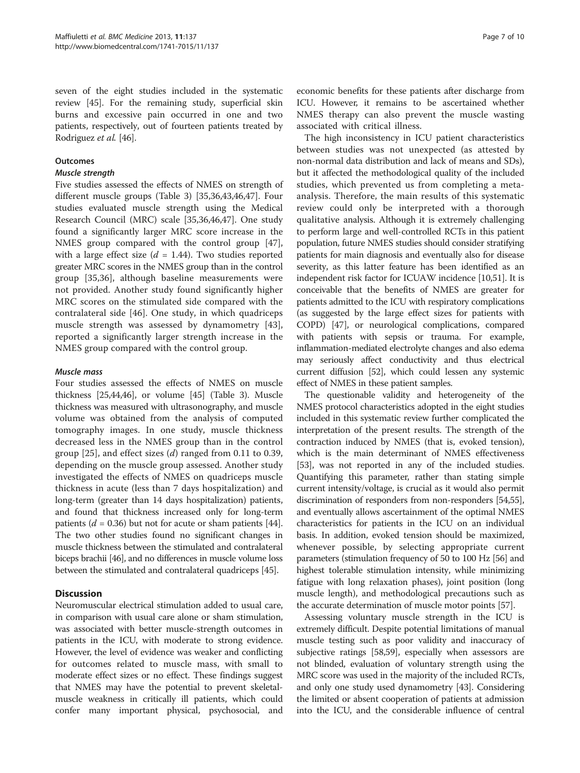seven of the eight studies included in the systematic review [[45](#page-9-0)]. For the remaining study, superficial skin burns and excessive pain occurred in one and two patients, respectively, out of fourteen patients treated by Rodriguez et al. [\[46\]](#page-9-0).

#### **Outcomes**

Five studies assessed the effects of NMES on strength of different muscle groups (Table [3](#page-5-0)) [\[35,36](#page-8-0)[,43,46,47\]](#page-9-0). Four studies evaluated muscle strength using the Medical Research Council (MRC) scale [\[35,36](#page-8-0)[,46,47\]](#page-9-0). One study found a significantly larger MRC score increase in the NMES group compared with the control group [\[47](#page-9-0)], with a large effect size  $(d = 1.44)$ . Two studies reported greater MRC scores in the NMES group than in the control group [\[35,36](#page-8-0)], although baseline measurements were not provided. Another study found significantly higher MRC scores on the stimulated side compared with the contralateral side [\[46](#page-9-0)]. One study, in which quadriceps muscle strength was assessed by dynamometry [\[43](#page-9-0)], reported a significantly larger strength increase in the NMES group compared with the control group.

#### Muscle mass

Four studies assessed the effects of NMES on muscle thickness [\[25,](#page-8-0)[44,46](#page-9-0)], or volume [[45](#page-9-0)] (Table [3](#page-5-0)). Muscle thickness was measured with ultrasonography, and muscle volume was obtained from the analysis of computed tomography images. In one study, muscle thickness decreased less in the NMES group than in the control group [\[25](#page-8-0)], and effect sizes (d) ranged from 0.11 to 0.39, depending on the muscle group assessed. Another study investigated the effects of NMES on quadriceps muscle thickness in acute (less than 7 days hospitalization) and long-term (greater than 14 days hospitalization) patients, and found that thickness increased only for long-term patients ( $d = 0.36$ ) but not for acute or sham patients [[44](#page-9-0)]. The two other studies found no significant changes in muscle thickness between the stimulated and contralateral biceps brachii [\[46](#page-9-0)], and no differences in muscle volume loss between the stimulated and contralateral quadriceps [\[45](#page-9-0)].

#### **Discussion**

Neuromuscular electrical stimulation added to usual care, in comparison with usual care alone or sham stimulation, was associated with better muscle-strength outcomes in patients in the ICU, with moderate to strong evidence. However, the level of evidence was weaker and conflicting for outcomes related to muscle mass, with small to moderate effect sizes or no effect. These findings suggest that NMES may have the potential to prevent skeletalmuscle weakness in critically ill patients, which could confer many important physical, psychosocial, and

economic benefits for these patients after discharge from ICU. However, it remains to be ascertained whether NMES therapy can also prevent the muscle wasting associated with critical illness.

The high inconsistency in ICU patient characteristics between studies was not unexpected (as attested by non-normal data distribution and lack of means and SDs), but it affected the methodological quality of the included studies, which prevented us from completing a metaanalysis. Therefore, the main results of this systematic review could only be interpreted with a thorough qualitative analysis. Although it is extremely challenging to perform large and well-controlled RCTs in this patient population, future NMES studies should consider stratifying patients for main diagnosis and eventually also for disease severity, as this latter feature has been identified as an independent risk factor for ICUAW incidence [\[10,](#page-8-0)[51\]](#page-9-0). It is conceivable that the benefits of NMES are greater for patients admitted to the ICU with respiratory complications (as suggested by the large effect sizes for patients with COPD) [[47](#page-9-0)], or neurological complications, compared with patients with sepsis or trauma. For example, inflammation-mediated electrolyte changes and also edema may seriously affect conductivity and thus electrical current diffusion [[52](#page-9-0)], which could lessen any systemic effect of NMES in these patient samples.

The questionable validity and heterogeneity of the NMES protocol characteristics adopted in the eight studies included in this systematic review further complicated the interpretation of the present results. The strength of the contraction induced by NMES (that is, evoked tension), which is the main determinant of NMES effectiveness [[53](#page-9-0)], was not reported in any of the included studies. Quantifying this parameter, rather than stating simple current intensity/voltage, is crucial as it would also permit discrimination of responders from non-responders [\[54,55](#page-9-0)], and eventually allows ascertainment of the optimal NMES characteristics for patients in the ICU on an individual basis. In addition, evoked tension should be maximized, whenever possible, by selecting appropriate current parameters (stimulation frequency of 50 to 100 Hz [\[56](#page-9-0)] and highest tolerable stimulation intensity, while minimizing fatigue with long relaxation phases), joint position (long muscle length), and methodological precautions such as the accurate determination of muscle motor points [\[57](#page-9-0)].

Assessing voluntary muscle strength in the ICU is extremely difficult. Despite potential limitations of manual muscle testing such as poor validity and inaccuracy of subjective ratings [\[58,59\]](#page-9-0), especially when assessors are not blinded, evaluation of voluntary strength using the MRC score was used in the majority of the included RCTs, and only one study used dynamometry [[43](#page-9-0)]. Considering the limited or absent cooperation of patients at admission into the ICU, and the considerable influence of central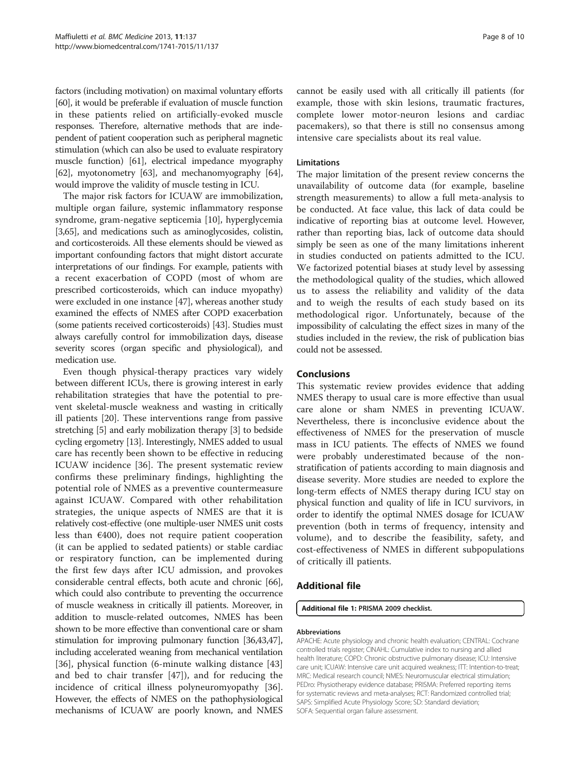<span id="page-7-0"></span>factors (including motivation) on maximal voluntary efforts [[60](#page-9-0)], it would be preferable if evaluation of muscle function in these patients relied on artificially-evoked muscle responses. Therefore, alternative methods that are independent of patient cooperation such as peripheral magnetic stimulation (which can also be used to evaluate respiratory muscle function) [\[61](#page-9-0)], electrical impedance myography [[62](#page-9-0)], myotonometry [[63](#page-9-0)], and mechanomyography [[64](#page-9-0)], would improve the validity of muscle testing in ICU.

The major risk factors for ICUAW are immobilization, multiple organ failure, systemic inflammatory response syndrome, gram-negative septicemia [\[10](#page-8-0)], hyperglycemia [[3](#page-8-0)[,65](#page-9-0)], and medications such as aminoglycosides, colistin, and corticosteroids. All these elements should be viewed as important confounding factors that might distort accurate interpretations of our findings. For example, patients with a recent exacerbation of COPD (most of whom are prescribed corticosteroids, which can induce myopathy) were excluded in one instance [\[47\]](#page-9-0), whereas another study examined the effects of NMES after COPD exacerbation (some patients received corticosteroids) [\[43\]](#page-9-0). Studies must always carefully control for immobilization days, disease severity scores (organ specific and physiological), and medication use.

Even though physical-therapy practices vary widely between different ICUs, there is growing interest in early rehabilitation strategies that have the potential to prevent skeletal-muscle weakness and wasting in critically ill patients [\[20](#page-8-0)]. These interventions range from passive stretching [[5](#page-8-0)] and early mobilization therapy [\[3\]](#page-8-0) to bedside cycling ergometry [[13](#page-8-0)]. Interestingly, NMES added to usual care has recently been shown to be effective in reducing ICUAW incidence [[36\]](#page-8-0). The present systematic review confirms these preliminary findings, highlighting the potential role of NMES as a preventive countermeasure against ICUAW. Compared with other rehabilitation strategies, the unique aspects of NMES are that it is relatively cost-effective (one multiple-user NMES unit costs less than  $€400$ ), does not require patient cooperation (it can be applied to sedated patients) or stable cardiac or respiratory function, can be implemented during the first few days after ICU admission, and provokes considerable central effects, both acute and chronic [[66](#page-9-0)], which could also contribute to preventing the occurrence of muscle weakness in critically ill patients. Moreover, in addition to muscle-related outcomes, NMES has been shown to be more effective than conventional care or sham stimulation for improving pulmonary function [[36](#page-8-0)[,43,47](#page-9-0)], including accelerated weaning from mechanical ventilation [[36\]](#page-8-0), physical function (6-minute walking distance [\[43](#page-9-0)] and bed to chair transfer [[47\]](#page-9-0)), and for reducing the incidence of critical illness polyneuromyopathy [\[36](#page-8-0)]. However, the effects of NMES on the pathophysiological mechanisms of ICUAW are poorly known, and NMES cannot be easily used with all critically ill patients (for example, those with skin lesions, traumatic fractures, complete lower motor-neuron lesions and cardiac pacemakers), so that there is still no consensus among intensive care specialists about its real value.

#### Limitations

The major limitation of the present review concerns the unavailability of outcome data (for example, baseline strength measurements) to allow a full meta-analysis to be conducted. At face value, this lack of data could be indicative of reporting bias at outcome level. However, rather than reporting bias, lack of outcome data should simply be seen as one of the many limitations inherent in studies conducted on patients admitted to the ICU. We factorized potential biases at study level by assessing the methodological quality of the studies, which allowed us to assess the reliability and validity of the data and to weigh the results of each study based on its methodological rigor. Unfortunately, because of the impossibility of calculating the effect sizes in many of the studies included in the review, the risk of publication bias could not be assessed.

#### Conclusions

This systematic review provides evidence that adding NMES therapy to usual care is more effective than usual care alone or sham NMES in preventing ICUAW. Nevertheless, there is inconclusive evidence about the effectiveness of NMES for the preservation of muscle mass in ICU patients. The effects of NMES we found were probably underestimated because of the nonstratification of patients according to main diagnosis and disease severity. More studies are needed to explore the long-term effects of NMES therapy during ICU stay on physical function and quality of life in ICU survivors, in order to identify the optimal NMES dosage for ICUAW prevention (both in terms of frequency, intensity and volume), and to describe the feasibility, safety, and cost-effectiveness of NMES in different subpopulations of critically ill patients.

#### Additional file

#### [Additional file 1:](http://www.biomedcentral.com/content/supplementary/1741-7015-11-137-S1.doc) PRISMA 2009 checklist.

#### Abbreviations

APACHE: Acute physiology and chronic health evaluation; CENTRAL: Cochrane controlled trials register; CINAHL: Cumulative index to nursing and allied health literature; COPD: Chronic obstructive pulmonary disease; ICU: Intensive care unit; ICUAW: Intensive care unit acquired weakness; ITT: Intention-to-treat; MRC: Medical research council; NMES: Neuromuscular electrical stimulation; PEDro: Physiotherapy evidence database; PRISMA: Preferred reporting items for systematic reviews and meta-analyses; RCT: Randomized controlled trial; SAPS: Simplified Acute Physiology Score; SD: Standard deviation; SOFA: Sequential organ failure assessment.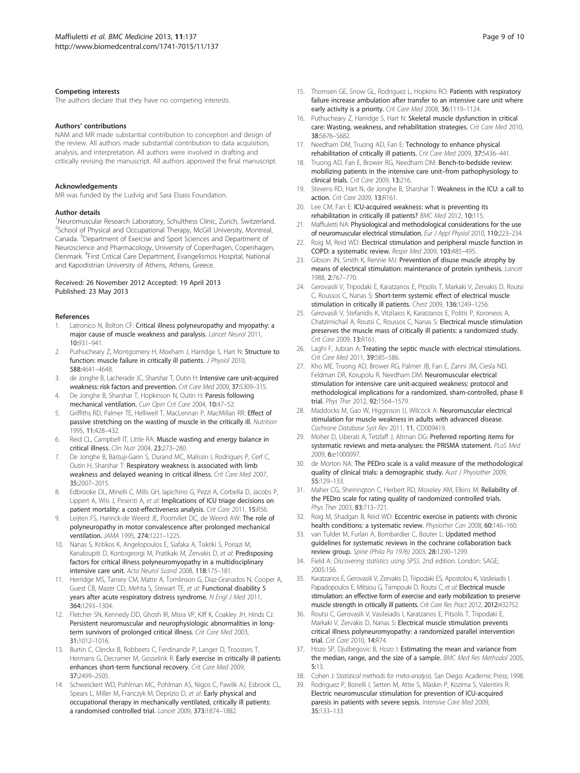#### <span id="page-8-0"></span>Competing interests

The authors declare that they have no competing interests.

#### Authors' contributions

NAM and MR made substantial contribution to conception and design of the review. All authors made substantial contribution to data acquisition, analysis, and interpretation. All authors were involved in drafting and critically revising the manuscript. All authors approved the final manuscript.

#### Acknowledgements

MR was funded by the Ludvig and Sara Elsass Foundation.

#### Author details

<sup>1</sup>Neuromuscular Research Laboratory, Schulthess Clinic, Zurich, Switzerland. <sup>2</sup>School of Physical and Occupational Therapy, McGill University, Montreal, Canada. <sup>3</sup>Department of Exercise and Sport Sciences and Department of Neuroscience and Pharmacology, University of Copenhagen, Copenhagen, Denmark. <sup>4</sup> First Critical Care Department, Evangelismos Hospital, National and Kapodistrian University of Athens, Athens, Greece.

#### Received: 26 November 2012 Accepted: 19 April 2013 Published: 23 May 2013

#### References

- 1. Latronico N, Bolton CF: Critical illness polyneuropathy and myopathy: a major cause of muscle weakness and paralysis. Lancet Neurol 2011, 10:931–941.
- 2. Puthucheary Z, Montgomery H, Moxham J, Harridge S, Hart N: Structure to function: muscle failure in critically ill patients. J Physiol 2010, 588:4641–4648.
- 3. de Jonghe B, Lacherade JC, Sharshar T, Outin H: Intensive care unit-acquired weakness: risk factors and prevention. Crit Care Med 2009, 37:S309–315.
- 4. De Jonghe B, Sharshar T, Hopkinson N, Outin H: Paresis following mechanical ventilation. Curr Opin Crit Care 2004, 10:47-52.
- 5. Griffiths RD, Palmer TE, Helliwell T, MacLennan P, MacMillan RR: Effect of passive stretching on the wasting of muscle in the critically ill. Nutrition 1995, 11:428–432.
- 6. Reid CL, Campbell IT, Little RA: Muscle wasting and energy balance in critical illness. Clin Nutr 2004, 23:273–280.
- 7. De Jonghe B, Bastuji-Garin S, Durand MC, Malissin I, Rodrigues P, Cerf C, Outin H, Sharshar T: Respiratory weakness is associated with limb weakness and delayed weaning in critical illness. Crit Care Med 2007, 35:2007–2015.
- Edbrooke DL, Minelli C, Mills GH, Iapichino G, Pezzi A, Corbella D, Jacobs P, Lippert A, Wiis J, Pesenti A, et al: Implications of ICU triage decisions on patient mortality: a cost-effectiveness analysis. Crit Care 2011, 15:R56.
- 9. Leijten FS, Harinck-de Weerd JE, Poortvliet DC, de Weerd AW: The role of polyneuropathy in motor convalescence after prolonged mechanical ventilation. JAMA 1995, 274:1221–1225.
- 10. Nanas S, Kritikos K, Angelopoulos E, Siafaka A, Tsikriki S, Poriazi M, Kanaloupiti D, Kontogeorgi M, Pratikaki M, Zervakis D, et al: Predisposing factors for critical illness polyneuromyopathy in a multidisciplinary intensive care unit. Acta Neurol Scand 2008, 118:175–181.
- 11. Herridge MS, Tansey CM, Matte A, Tomlinson G, Diaz-Granados N, Cooper A, Guest CB, Mazer CD, Mehta S, Stewart TE, et al: Functional disability 5 years after acute respiratory distress syndrome. N Engl J Med 2011, 364:1293–1304.
- 12. Fletcher SN, Kennedy DD, Ghosh IR, Misra VP, Kiff K, Coakley JH, Hinds CJ: Persistent neuromuscular and neurophysiologic abnormalities in longterm survivors of prolonged critical illness. Crit Care Med 2003, 31:1012–1016.
- 13. Burtin C, Clerckx B, Robbeets C, Ferdinande P, Langer D, Troosters T, Hermans G, Decramer M, Gosselink R: Early exercise in critically ill patients enhances short-term functional recovery. Crit Care Med 2009, 37:2499–2505.
- 14. Schweickert WD, Pohlman MC, Pohlman AS, Nigos C, Pawlik AJ, Esbrook CL, Spears L, Miller M, Franczyk M, Deprizio D, et al: Early physical and occupational therapy in mechanically ventilated, critically ill patients: a randomised controlled trial. Lancet 2009, 373:1874–1882.
- 15. Thomsen GE, Snow GL, Rodriguez L, Hopkins RO: Patients with respiratory failure increase ambulation after transfer to an intensive care unit where early activity is a priority. Crit Care Med 2008, 36:1119-1124.
- 16. Puthucheary Z, Harridge S, Hart N: Skeletal muscle dysfunction in critical care: Wasting, weakness, and rehabilitation strategies. Crit Care Med 2010, 38:S676–S682.
- 17. Needham DM, Truong AD, Fan E: Technology to enhance physical rehabilitation of critically ill patients. Crit Care Med 2009, 37:S436–441.
- 18. Truong AD, Fan E, Brower RG, Needham DM: Bench-to-bedside review: mobilizing patients in the intensive care unit–from pathophysiology to clinical trials. Crit Care 2009, 13:216.
- 19. Stevens RD, Hart N, de Jonghe B, Sharshar T: Weakness in the ICU: a call to action. Crit Care 2009, 13:R161.
- 20. Lee CM, Fan E: ICU-acquired weakness: what is preventing its rehabilitation in critically ill patients? BMC Med 2012, 10:115.
- 21. Maffiuletti NA: Physiological and methodological considerations for the use of neuromuscular electrical stimulation. Eur J Appl Physiol 2010, 110:223–234.
- 22. Roig M, Reid WD: Electrical stimulation and peripheral muscle function in COPD: a systematic review. Respir Med 2009, 103:485–495.
- 23. Gibson JN, Smith K, Rennie MJ: Prevention of disuse muscle atrophy by means of electrical stimulation: maintenance of protein synthesis. Lancet 1988, 2:767–770.
- 24. Gerovasili V, Tripodaki E, Karatzanos E, Pitsolis T, Markaki V, Zervakis D, Routsi C, Roussos C, Nanas S: Short-term systemic effect of electrical muscle stimulation in critically ill patients. Chest 2009, 136:1249-1256.
- 25. Gerovasili V, Stefanidis K, Vitzilaios K, Karatzanos E, Politis P, Koroneos A, Chatzimichail A, Routsi C, Roussos C, Nanas S: Electrical muscle stimulation preserves the muscle mass of critically ill patients: a randomized study. Crit Care 2009, 13:R161.
- 26. Laghi F, Jubran A: Treating the septic muscle with electrical stimulations. Crit Care Med 2011, 39:585–586.
- 27. Kho ME, Truong AD, Brower RG, Palmer JB, Fan E, Zanni JM, Ciesla ND, Feldman DR, Korupolu R, Needham DM: Neuromuscular electrical stimulation for intensive care unit-acquired weakness: protocol and methodological implications for a randomized, sham-controlled, phase II trial. Phys Ther 2012, 92:1564–1579.
- 28. Maddocks M, Gao W, Higginson IJ, Wilcock A: Neuromuscular electrical stimulation for muscle weakness in adults with advanced disease. Cochrane Database Syst Rev 2011, 11, CD009419.
- 29. Moher D, Liberati A, Tetzlaff J, Altman DG: Preferred reporting items for systematic reviews and meta-analyses: the PRISMA statement. PLoS Med 2009, 6:e1000097.
- 30. de Morton NA: The PEDro scale is a valid measure of the methodological quality of clinical trials: a demographic study. Aust J Physiother 2009, 55:129–133.
- 31. Maher CG, Sherrington C, Herbert RD, Moseley AM, Elkins M: Reliability of the PEDro scale for rating quality of randomized controlled trials. Phys Ther 2003, 83:713–721.
- 32. Roig M, Shadgan B, Reid WD: Eccentric exercise in patients with chronic health conditions: a systematic review. Physiother Can 2008, 60:146–160.
- 33. van Tulder M, Furlan A, Bombardier C, Bouter L: Updated method guidelines for systematic reviews in the cochrane collaboration back review group. Spine (Phila Pa 1976) 2003, 28:1290–1299.
- 34. Field A: Discovering statistics using SPSS. 2nd edition. London: SAGE; 2005:156.
- 35. Karatzanos E, Gerovasili V, Zervakis D, Tripodaki ES, Apostolou K, Vasileiadis I, Papadopoulos E, Mitsiou G, Tsimpouki D, Routsi C, et al: Electrical muscle stimulation: an effective form of exercise and early mobilization to preserve muscle strength in critically ill patients. Crit Care Res Pract 2012, 2012:432752.
- 36. Routsi C, Gerovasili V, Vasileiadis I, Karatzanos E, Pitsolis T, Tripodaki E, Markaki V, Zervakis D, Nanas S: Electrical muscle stimulation prevents critical illness polyneuromyopathy: a randomized parallel intervention trial. Crit Care 2010, 14:R74.
- 37. Hozo SP, Djulbegovic B, Hozo I: Estimating the mean and variance from the median, range, and the size of a sample. BMC Med Res Methodol 2005, 5:13.
- 38. Cohen J: Statistical methods for meta-analysis. San Diego: Academic Press; 1998.
- 39. Rodriguez P, Bonelli I, Setten M, Attie S, Maskin P, Kozima S, Valentini R: Electric neuromuscular stimulation for prevention of ICU-acquired paresis in patients with severe sepsis. Intensive Care Med 2009, 35:133–133.